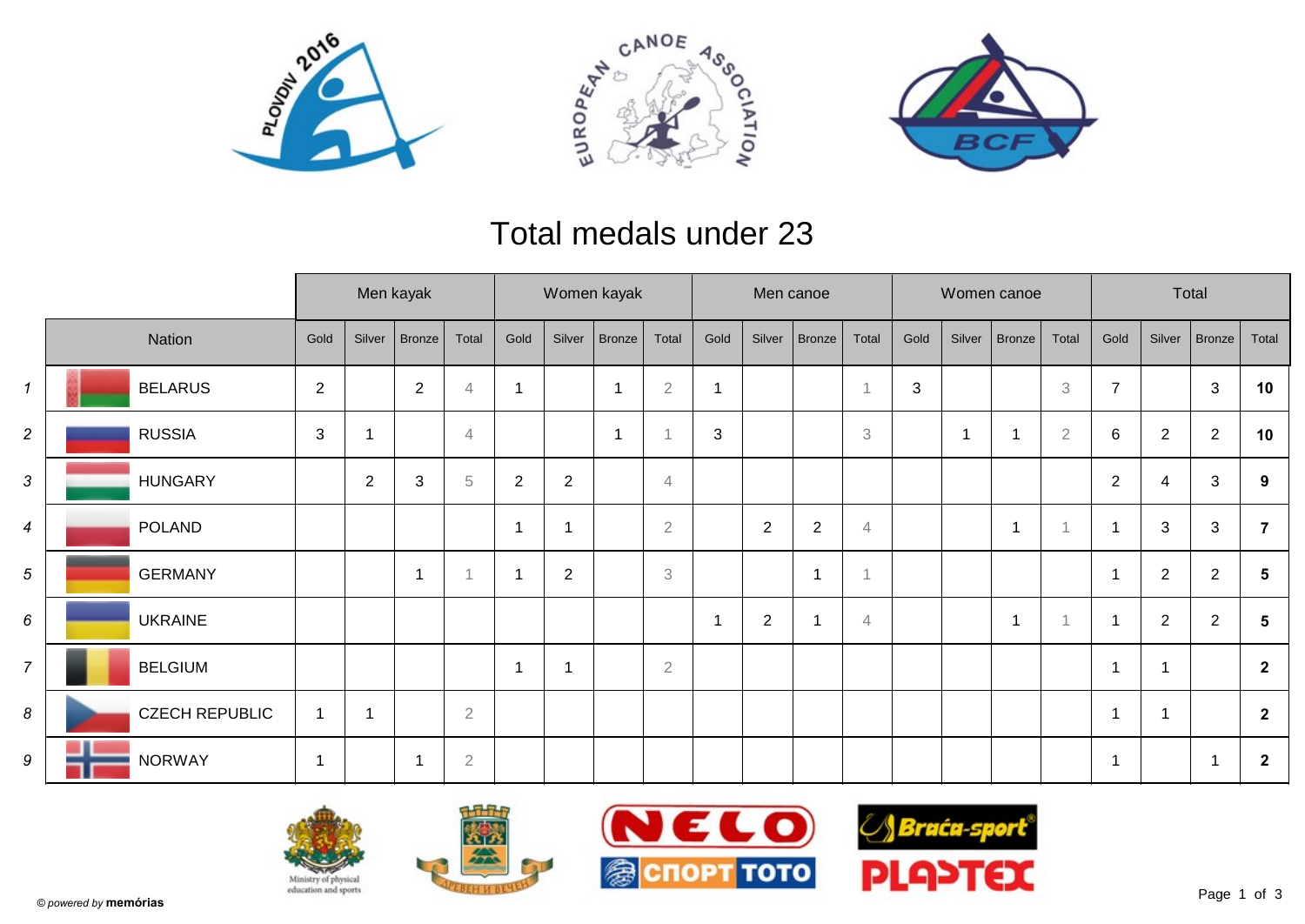





## Total medals under 23

|                            |                       | Men kayak    |             |            |                |                |                | Women kayak   |                |      | Men canoe    |                |                           |            |        | Women canoe              |                | Total          |                |                |                |
|----------------------------|-----------------------|--------------|-------------|------------|----------------|----------------|----------------|---------------|----------------|------|--------------|----------------|---------------------------|------------|--------|--------------------------|----------------|----------------|----------------|----------------|----------------|
|                            | Nation                | Gold         | Silver      | Bronze     | Total          | Gold           | Silver         | <b>Bronze</b> | Total          | Gold | Silver       | Bronze         | Total                     | Gold       | Silver | Bronze                   | Total          | Gold           | Silver         | Bronze         | Total          |
| $\boldsymbol{\mathcal{L}}$ | <b>BELARUS</b>        | 2            |             | $\sqrt{2}$ | $\overline{4}$ | 1              |                | -1            | $\overline{2}$ | -1   |              |                |                           | $\sqrt{3}$ |        |                          | 3              | $\overline{7}$ |                | $\mathfrak{S}$ | 10             |
| $\overline{c}$             | <b>RUSSIA</b>         | 3            |             |            | $\overline{4}$ |                |                | -1            |                | 3    |              |                | $\ensuremath{\mathsf{3}}$ |            | -1     |                          | $\overline{2}$ | 6              | $\overline{2}$ | $\overline{2}$ | 10             |
| 3                          | <b>HUNGARY</b>        |              | 2           | 3          | 5              | $\overline{2}$ | $\overline{2}$ |               | $\overline{4}$ |      |              |                |                           |            |        |                          |                | $\overline{2}$ | 4              | 3              | 9              |
| 4                          | POLAND                |              |             |            |                | 1              | 1              |               | $\overline{2}$ |      | $\mathbf{2}$ | $\overline{2}$ | 4                         |            |        | $\overline{\phantom{a}}$ | $\overline{A}$ | $\mathbf 1$    | 3              | $\mathfrak{S}$ | 7              |
| 5                          | <b>GERMANY</b>        |              |             | 1          |                | 1              | $\overline{2}$ |               | 3              |      |              |                |                           |            |        |                          |                | $\overline{1}$ | $\overline{2}$ | $\overline{2}$ | $5\phantom{1}$ |
| 6                          | <b>UKRAINE</b>        |              |             |            |                |                |                |               |                |      | $\mathbf{2}$ |                | $\overline{4}$            |            |        | $\overline{\phantom{a}}$ |                | $\overline{1}$ | $\overline{2}$ | $\overline{2}$ | 5              |
| $\overline{7}$             | <b>BELGIUM</b>        |              |             |            |                | $\mathbf 1$    | 1              |               | $\overline{2}$ |      |              |                |                           |            |        |                          |                | $\mathbf 1$    | $\overline{1}$ |                | $\overline{2}$ |
| 8                          | <b>CZECH REPUBLIC</b> | $\mathbf{1}$ | $\mathbf 1$ |            | $\overline{2}$ |                |                |               |                |      |              |                |                           |            |        |                          |                | $\mathbf 1$    |                |                | $\overline{2}$ |
| 9                          | <b>NORWAY</b>         | $\mathbf{1}$ |             |            | $\overline{2}$ |                |                |               |                |      |              |                |                           |            |        |                          |                | $\overline{1}$ |                |                | $\overline{2}$ |







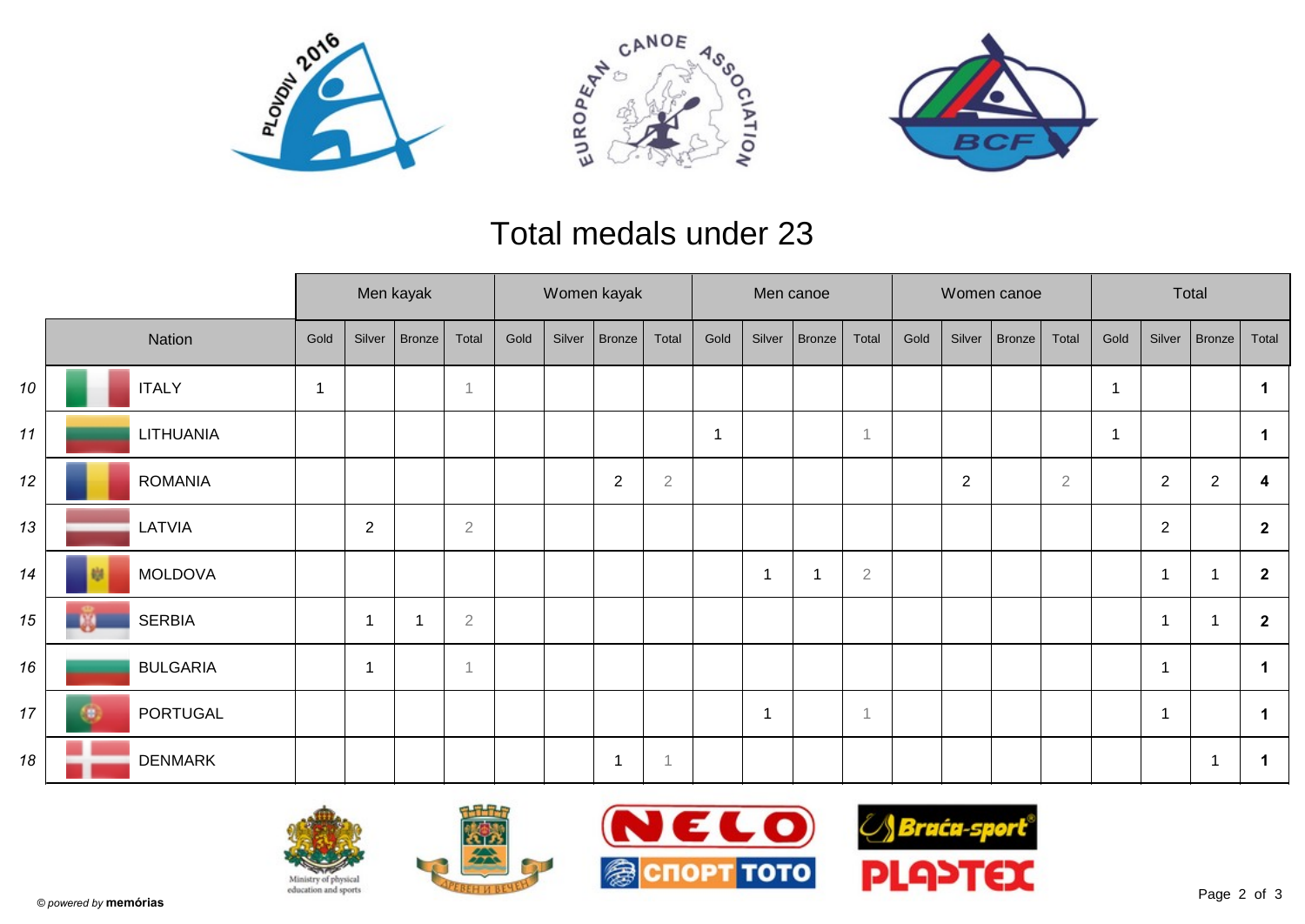





## Total medals under 23

|    |  | Men kayak       |                |                |        | Women kayak |      |        |                  |                | Men canoe |        |               |                |      | Women canoe    |        | Total          |      |                |                |                      |
|----|--|-----------------|----------------|----------------|--------|-------------|------|--------|------------------|----------------|-----------|--------|---------------|----------------|------|----------------|--------|----------------|------|----------------|----------------|----------------------|
|    |  | Nation          | Gold           | Silver         | Bronze | Total       | Gold | Silver | Bronze           | Total          | Gold      | Silver | <b>Bronze</b> | Total          | Gold | Silver         | Bronze | Total          | Gold | Silver         | Bronze         | Total                |
| 10 |  | <b>ITALY</b>    | $\overline{1}$ |                |        | -1          |      |        |                  |                |           |        |               |                |      |                |        |                |      |                |                |                      |
| 11 |  | LITHUANIA       |                |                |        |             |      |        |                  |                | -1        |        |               | $\overline{1}$ |      |                |        |                |      |                |                | $\mathbf 1$          |
| 12 |  | <b>ROMANIA</b>  |                |                |        |             |      |        | $\boldsymbol{2}$ | $\overline{2}$ |           |        |               |                |      | $\overline{2}$ |        | $\overline{2}$ |      | $\overline{2}$ | $\sqrt{2}$     | 4                    |
| 13 |  | LATVIA          |                | $\overline{2}$ |        | $\sqrt{2}$  |      |        |                  |                |           |        |               |                |      |                |        |                |      | 2              |                | $\mathbf{2}$         |
| 14 |  | <b>MOLDOVA</b>  |                |                |        |             |      |        |                  |                |           | 1      |               | $\sqrt{2}$     |      |                |        |                |      | 1              |                | $\mathbf{2}$         |
| 15 |  | <b>SERBIA</b>   |                | 1              |        | $\sqrt{2}$  |      |        |                  |                |           |        |               |                |      |                |        |                |      | 1              | 1              | $\mathbf{2}$         |
| 16 |  | <b>BULGARIA</b> |                | -1             |        | -1          |      |        |                  |                |           |        |               |                |      |                |        |                |      | $\mathbf 1$    |                | $\blacktriangleleft$ |
| 17 |  | PORTUGAL        |                |                |        |             |      |        |                  |                |           | 1      |               | $\overline{1}$ |      |                |        |                |      | $\mathbf 1$    |                |                      |
| 18 |  | <b>DENMARK</b>  |                |                |        |             |      |        | -1               |                |           |        |               |                |      |                |        |                |      |                | $\overline{1}$ | -1                   |